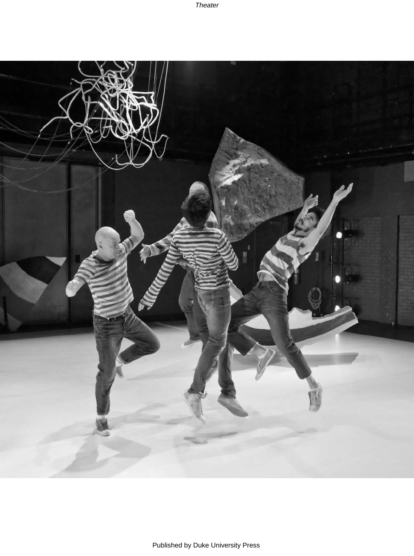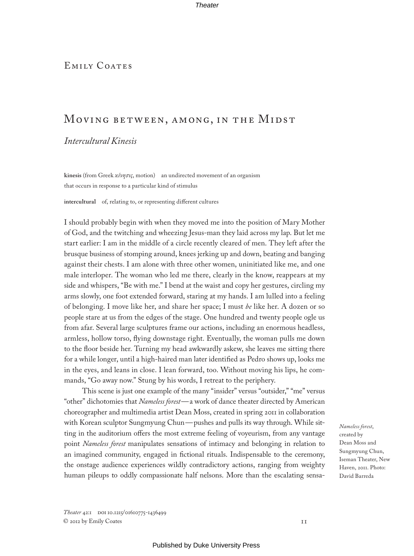# EMILY COATES

# Moving between, among, in the Midst

# *Intercultural Kinesis*

**kinesis** (from Greek *κίνησις*, motion) an undirected movement of an organism that occurs in response to a particular kind of stimulus

**intercultural** of, relating to, or representing different cultures

I should probably begin with when they moved me into the position of Mary Mother of God, and the twitching and wheezing Jesus-man they laid across my lap. But let me start earlier: I am in the middle of a circle recently cleared of men. They left after the brusque business of stomping around, knees jerking up and down, beating and banging against their chests. I am alone with three other women, uninitiated like me, and one male interloper. The woman who led me there, clearly in the know, reappears at my side and whispers, "Be with me." I bend at the waist and copy her gestures, circling my arms slowly, one foot extended forward, staring at my hands. I am lulled into a feeling of belonging. I move like her, and share her space; I must *be* like her. A dozen or so people stare at us from the edges of the stage. One hundred and twenty people ogle us from afar. Several large sculptures frame our actions, including an enormous headless, armless, hollow torso, flying downstage right. Eventually, the woman pulls me down to the floor beside her. Turning my head awkwardly askew, she leaves me sitting there for a while longer, until a high-haired man later identified as Pedro shows up, looks me in the eyes, and leans in close. I lean forward, too. Without moving his lips, he commands, "Go away now." Stung by his words, I retreat to the periphery.

This scene is just one example of the many "insider" versus "outsider," "me" versus "other" dichotomies that *Nameless forest*—a work of dance theater directed by American choreographer and multimedia artist Dean Moss, created in spring 2011 in collaboration with Korean sculptor Sungmyung Chun—pushes and pulls its way through. While sitting in the auditorium offers the most extreme feeling of voyeurism, from any vantage point *Nameless forest* manipulates sensations of intimacy and belonging in relation to an imagined community, engaged in fictional rituals. Indispensable to the ceremony, the onstage audience experiences wildly contradictory actions, ranging from weighty human pileups to oddly compassionate half nelsons. More than the escalating sensa-

*Nameless forest*, created by Dean Moss and Sungmyung Chun, Iseman Theater, New Haven, 2011. Photo: David Barreda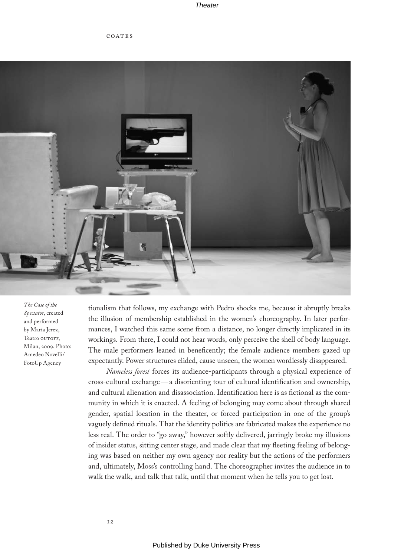coates



*The Case of the Spectator*, created and performed by Maria Jerez, Teatro OUTOFF, Milan, 2009. Photo: Amedeo Novelli/ FotoUp Agency

tionalism that follows, my exchange with Pedro shocks me, because it abruptly breaks the illusion of membership established in the women's choreography. In later performances, I watched this same scene from a distance, no longer directly implicated in its workings. From there, I could not hear words, only perceive the shell of body language. The male performers leaned in beneficently; the female audience members gazed up expectantly. Power structures elided, cause unseen, the women wordlessly disappeared.

*Nameless forest* forces its audience-participants through a physical experience of cross-cultural exchange—a disorienting tour of cultural identification and ownership, and cultural alienation and disassociation. Identification here is as fictional as the community in which it is enacted. A feeling of belonging may come about through shared gender, spatial location in the theater, or forced participation in one of the group's vaguely defined rituals. That the identity politics are fabricated makes the experience no less real. The order to "go away," however softly delivered, jarringly broke my illusions of insider status, sitting center stage, and made clear that my fleeting feeling of belonging was based on neither my own agency nor reality but the actions of the performers and, ultimately, Moss's controlling hand. The choreographer invites the audience in to walk the walk, and talk that talk, until that moment when he tells you to get lost.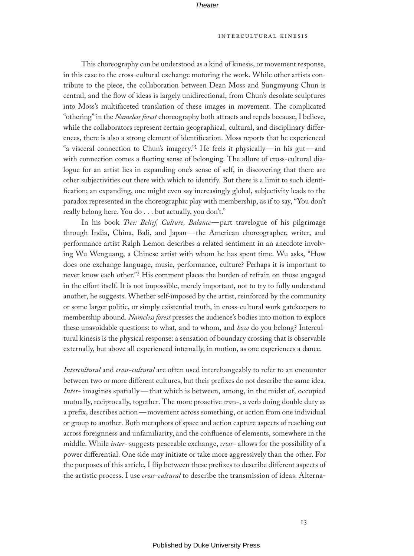# intercultural kinesis

This choreography can be understood as a kind of kinesis, or movement response, in this case to the cross-cultural exchange motoring the work. While other artists contribute to the piece, the collaboration between Dean Moss and Sungmyung Chun is central, and the flow of ideas is largely unidirectional, from Chun's desolate sculptures into Moss's multifaceted translation of these images in movement. The complicated "othering" in the *Nameless forest* choreography both attracts and repels because, I believe, while the collaborators represent certain geographical, cultural, and disciplinary differences, there is also a strong element of identification. Moss reports that he experienced "a visceral connection to Chun's imagery."1 He feels it physically—in his gut—and with connection comes a fleeting sense of belonging. The allure of cross-cultural dialogue for an artist lies in expanding one's sense of self, in discovering that there are other subjectivities out there with which to identify. But there is a limit to such identification; an expanding, one might even say increasingly global, subjectivity leads to the paradox represented in the choreographic play with membership, as if to say, "You don't really belong here. You do . . . but actually, you don't."

In his book *Tree: Belief, Culture, Balance*—part travelogue of his pilgrimage through India, China, Bali, and Japan—the American choreographer, writer, and performance artist Ralph Lemon describes a related sentiment in an anecdote involving Wu Wenguang, a Chinese artist with whom he has spent time. Wu asks, "How does one exchange language, music, performance, culture? Perhaps it is important to never know each other."2 His comment places the burden of refrain on those engaged in the effort itself. It is not impossible, merely important, not to try to fully understand another, he suggests. Whether self-imposed by the artist, reinforced by the community or some larger politic, or simply existential truth, in cross-cultural work gatekeepers to membership abound. *Nameless forest* presses the audience's bodies into motion to explore these unavoidable questions: to what, and to whom, and *how* do you belong? Intercultural kinesis is the physical response: a sensation of boundary crossing that is observable externally, but above all experienced internally, in motion, as one experiences a dance.

*Intercultural* and *cross-cultural* are often used interchangeably to refer to an encounter between two or more different cultures, but their prefixes do not describe the same idea. *Inter-* imagines spatially—that which is between, among, in the midst of, occupied mutually, reciprocally, together. The more proactive *cross-*, a verb doing double duty as a prefix, describes action—movement across something, or action from one individual or group to another. Both metaphors of space and action capture aspects of reaching out across foreignness and unfamiliarity, and the confluence of elements, somewhere in the middle. While *inter-* suggests peaceable exchange, *cross-* allows for the possibility of a power differential. One side may initiate or take more aggressively than the other. For the purposes of this article, I flip between these prefixes to describe different aspects of the artistic process. I use *cross-cultural* to describe the transmission of ideas. Alterna-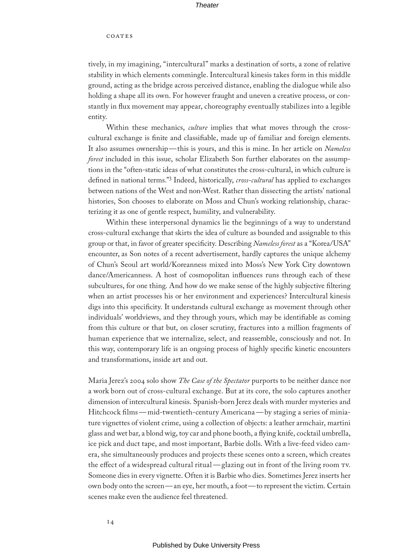## coates

tively, in my imagining, "intercultural" marks a destination of sorts, a zone of relative stability in which elements commingle. Intercultural kinesis takes form in this middle ground, acting as the bridge across perceived distance, enabling the dialogue while also holding a shape all its own. For however fraught and uneven a creative process, or constantly in flux movement may appear, choreography eventually stabilizes into a legible entity.

Within these mechanics, *culture* implies that what moves through the crosscultural exchange is finite and classifiable, made up of familiar and foreign elements. It also assumes ownership—this is yours, and this is mine. In her article on *Nameless forest* included in this issue, scholar Elizabeth Son further elaborates on the assumptions in the "often-static ideas of what constitutes the cross-cultural, in which culture is defined in national terms."3 Indeed, historically, *cross-cultural* has applied to exchanges between nations of the West and non-West. Rather than dissecting the artists' national histories, Son chooses to elaborate on Moss and Chun's working relationship, characterizing it as one of gentle respect, humility, and vulnerability.

Within these interpersonal dynamics lie the beginnings of a way to understand cross-cultural exchange that skirts the idea of culture as bounded and assignable to this group or that, in favor of greater specificity. Describing *Nameless forest* as a "Korea/USA" encounter, as Son notes of a recent advertisement, hardly captures the unique alchemy of Chun's Seoul art world/Koreanness mixed into Moss's New York City downtown dance/Americanness. A host of cosmopolitan influences runs through each of these subcultures, for one thing. And how do we make sense of the highly subjective filtering when an artist processes his or her environment and experiences? Intercultural kinesis digs into this specificity. It understands cultural exchange as movement through other individuals' worldviews, and they through yours, which may be identifiable as coming from this culture or that but, on closer scrutiny, fractures into a million fragments of human experience that we internalize, select, and reassemble, consciously and not. In this way, contemporary life is an ongoing process of highly specific kinetic encounters and transformations, inside art and out.

Maria Jerez's 2004 solo show *The Case of the Spectator* purports to be neither dance nor a work born out of cross-cultural exchange. But at its core, the solo captures another dimension of intercultural kinesis. Spanish-born Jerez deals with murder mysteries and Hitchcock films—mid-twentieth-century Americana—by staging a series of miniature vignettes of violent crime, using a collection of objects: a leather armchair, martini glass and wet bar, a blond wig, toy car and phone booth, a flying knife, cocktail umbrella, ice pick and duct tape, and most important, Barbie dolls. With a live-feed video camera, she simultaneously produces and projects these scenes onto a screen, which creates the effect of a widespread cultural ritual—glazing out in front of the living room tv. Someone dies in every vignette. Often it is Barbie who dies. Sometimes Jerez inserts her own body onto the screen—an eye, her mouth, a foot—to represent the victim. Certain scenes make even the audience feel threatened.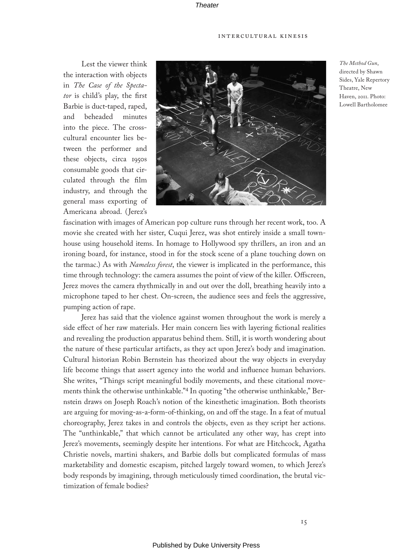Lest the viewer think the interaction with objects in *The Case of the Spectator* is child's play, the first Barbie is duct-taped, raped, and beheaded minutes into the piece. The crosscultural encounter lies between the performer and these objects, circa 1950s consumable goods that circulated through the film industry, and through the general mass exporting of Americana abroad. (Jerez's



*The Method Gun*, directed by Shawn Sides, Yale Repertory Theatre, New Haven, 2011. Photo: Lowell Bartholomee

fascination with images of American pop culture runs through her recent work, too. A movie she created with her sister, Cuqui Jerez, was shot entirely inside a small townhouse using household items. In homage to Hollywood spy thrillers, an iron and an ironing board, for instance, stood in for the stock scene of a plane touching down on the tarmac.) As with *Nameless forest*, the viewer is implicated in the performance, this time through technology: the camera assumes the point of view of the killer. Offscreen, Jerez moves the camera rhythmically in and out over the doll, breathing heavily into a microphone taped to her chest. On-screen, the audience sees and feels the aggressive, pumping action of rape.

Jerez has said that the violence against women throughout the work is merely a side effect of her raw materials. Her main concern lies with layering fictional realities and revealing the production apparatus behind them. Still, it is worth wondering about the nature of these particular artifacts, as they act upon Jerez's body and imagination. Cultural historian Robin Bernstein has theorized about the way objects in everyday life become things that assert agency into the world and influence human behaviors. She writes, "Things script meaningful bodily movements, and these citational movements think the otherwise unthinkable."4 In quoting "the otherwise unthinkable," Bernstein draws on Joseph Roach's notion of the kinesthetic imagination. Both theorists are arguing for moving-as-a-form-of-thinking, on and off the stage. In a feat of mutual choreography, Jerez takes in and controls the objects, even as they script her actions. The "unthinkable," that which cannot be articulated any other way, has crept into Jerez's movements, seemingly despite her intentions. For what are Hitchcock, Agatha Christie novels, martini shakers, and Barbie dolls but complicated formulas of mass marketability and domestic escapism, pitched largely toward women, to which Jerez's body responds by imagining, through meticulously timed coordination, the brutal victimization of female bodies?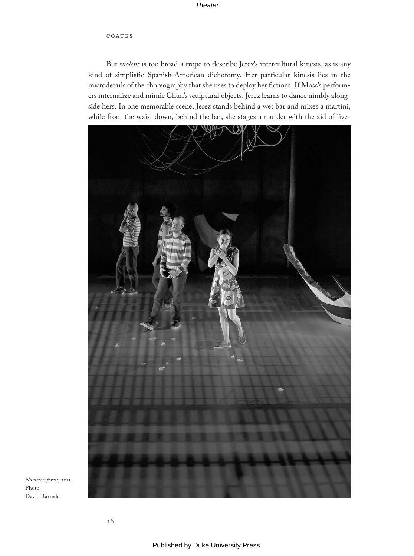# **Theater**

## COATES

But *violent* is too broad a trope to describe Jerez's intercultural kinesis, as is any kind of simplistic Spanish-American dichotomy. Her particular kinesis lies in the microdetails of the choreography that she uses to deploy her fictions. If Moss's performers internalize and mimic Chun's sculptural objects, Jerez learns to dance nimbly alongside hers. In one memorable scene, Jerez stands behind a wet bar and mixes a martini, while from the waist down, behind the bar, she stages a murder with the aid of live-



*Nameless forest*, 2011. Photo: David Barreda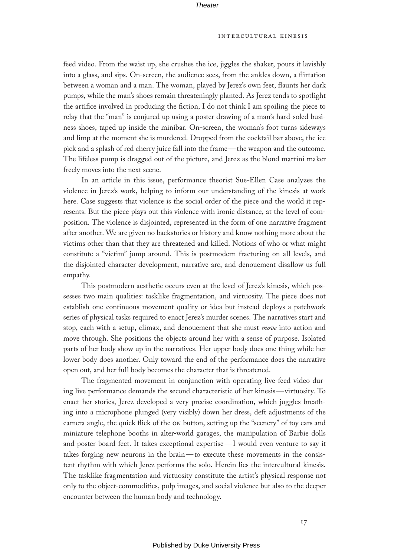#### **Theater**

#### intercultural kinesis

feed video. From the waist up, she crushes the ice, jiggles the shaker, pours it lavishly into a glass, and sips. On-screen, the audience sees, from the ankles down, a flirtation between a woman and a man. The woman, played by Jerez's own feet, flaunts her dark pumps, while the man's shoes remain threateningly planted. As Jerez tends to spotlight the artifice involved in producing the fiction, I do not think I am spoiling the piece to relay that the "man" is conjured up using a poster drawing of a man's hard-soled business shoes, taped up inside the minibar. On-screen, the woman's foot turns sideways and limp at the moment she is murdered. Dropped from the cocktail bar above, the ice pick and a splash of red cherry juice fall into the frame—the weapon and the outcome. The lifeless pump is dragged out of the picture, and Jerez as the blond martini maker freely moves into the next scene.

In an article in this issue, performance theorist Sue-Ellen Case analyzes the violence in Jerez's work, helping to inform our understanding of the kinesis at work here. Case suggests that violence is the social order of the piece and the world it represents. But the piece plays out this violence with ironic distance, at the level of composition. The violence is disjointed, represented in the form of one narrative fragment after another. We are given no backstories or history and know nothing more about the victims other than that they are threatened and killed. Notions of who or what might constitute a "victim" jump around. This is postmodern fracturing on all levels, and the disjointed character development, narrative arc, and denouement disallow us full empathy.

This postmodern aesthetic occurs even at the level of Jerez's kinesis, which possesses two main qualities: tasklike fragmentation, and virtuosity. The piece does not establish one continuous movement quality or idea but instead deploys a patchwork series of physical tasks required to enact Jerez's murder scenes. The narratives start and stop, each with a setup, climax, and denouement that she must *move* into action and move through. She positions the objects around her with a sense of purpose. Isolated parts of her body show up in the narratives. Her upper body does one thing while her lower body does another. Only toward the end of the performance does the narrative open out, and her full body becomes the character that is threatened.

The fragmented movement in conjunction with operating live-feed video during live performance demands the second characteristic of her kinesis—virtuosity. To enact her stories, Jerez developed a very precise coordination, which juggles breathing into a microphone plunged (very visibly) down her dress, deft adjustments of the camera angle, the quick flick of the on button, setting up the "scenery" of toy cars and miniature telephone booths in alter-world garages, the manipulation of Barbie dolls and poster-board feet. It takes exceptional expertise—I would even venture to say it takes forging new neurons in the brain—to execute these movements in the consistent rhythm with which Jerez performs the solo. Herein lies the intercultural kinesis. The tasklike fragmentation and virtuosity constitute the artist's physical response not only to the object-commodities, pulp images, and social violence but also to the deeper encounter between the human body and technology.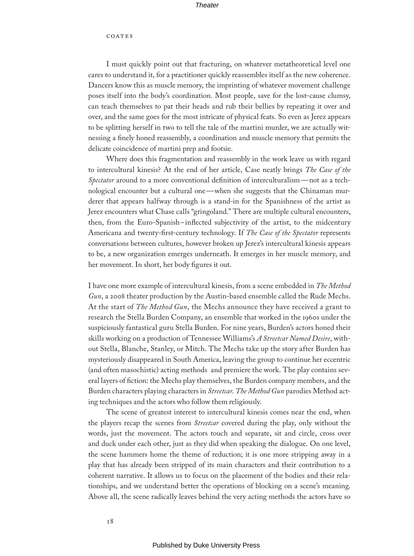### coates

I must quickly point out that fracturing, on whatever metatheoretical level one cares to understand it, for a practitioner quickly reassembles itself as the new coherence. Dancers know this as muscle memory, the imprinting of whatever movement challenge poses itself into the body's coordination. Most people, save for the lost-cause clumsy, can teach themselves to pat their heads and rub their bellies by repeating it over and over, and the same goes for the most intricate of physical feats. So even as Jerez appears to be splitting herself in two to tell the tale of the martini murder, we are actually witnessing a finely honed reassembly, a coordination and muscle memory that permits the delicate coincidence of martini prep and footsie.

Where does this fragmentation and reassembly in the work leave us with regard to intercultural kinesis? At the end of her article, Case neatly brings *The Case of the Spectator* around to a more conventional definition of interculturalism—not as a technological encounter but a cultural one—when she suggests that the Chinaman murderer that appears halfway through is a stand-in for the Spanishness of the artist as Jerez encounters what Chase calls "gringoland." There are multiple cultural encounters, then, from the Euro-Spanish–inflected subjectivity of the artist, to the midcentury Americana and twenty-first-century technology. If *The Case of the Spectator* represents conversations between cultures, however broken up Jerez's intercultural kinesis appears to be, a new organization emerges underneath. It emerges in her muscle memory, and her movement. In short, her body figures it out.

I have one more example of intercultural kinesis, from a scene embedded in *The Method Gun*, a 2008 theater production by the Austin-based ensemble called the Rude Mechs. At the start of *The Method Gun*, the Mechs announce they have received a grant to research the Stella Burden Company, an ensemble that worked in the 1960s under the suspiciously fantastical guru Stella Burden. For nine years, Burden's actors honed their skills working on a production of Tennessee Williams's *A Streetcar Named Desire*, without Stella, Blanche, Stanley, or Mitch. The Mechs take up the story after Burden has mysteriously disappeared in South America, leaving the group to continue her eccentric (and often masochistic) acting methods and premiere the work. The play contains several layers of fiction: the Mechs play themselves, the Burden company members, and the Burden characters playing characters in *Streetcar*. *The Method Gun* parodies Method acting techniques and the actors who follow them religiously.

The scene of greatest interest to intercultural kinesis comes near the end, when the players recap the scenes from *Streetcar* covered during the play, only without the words, just the movement. The actors touch and separate, sit and circle, cross over and duck under each other, just as they did when speaking the dialogue. On one level, the scene hammers home the theme of reduction; it is one more stripping away in a play that has already been stripped of its main characters and their contribution to a coherent narrative. It allows us to focus on the placement of the bodies and their relationships, and we understand better the operations of blocking on a scene's meaning. Above all, the scene radically leaves behind the very acting methods the actors have so